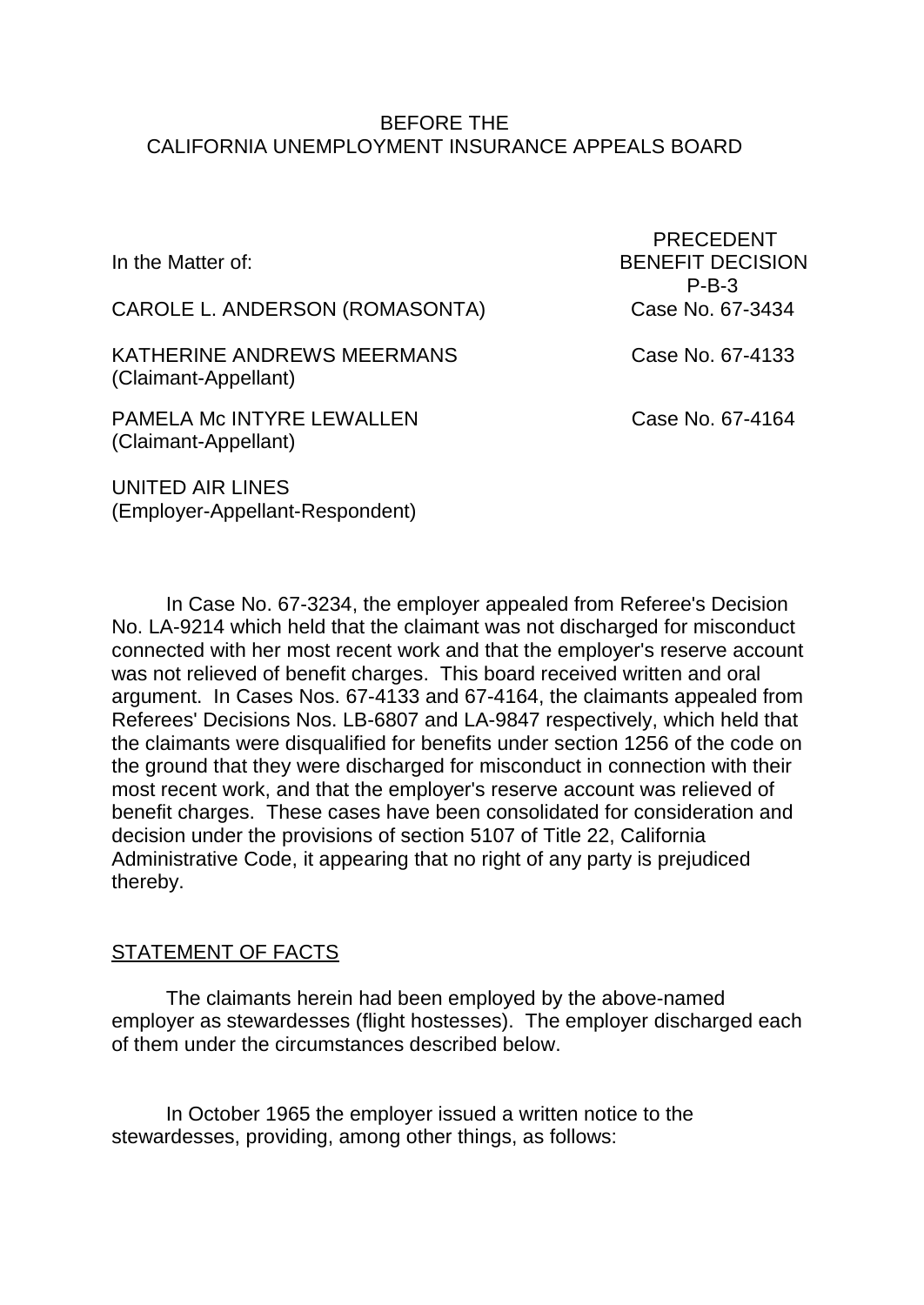#### BEFORE THE CALIFORNIA UNEMPLOYMENT INSURANCE APPEALS BOARD

| In the Matter of:                                        | <b>PRECEDENT</b><br><b>BENEFIT DECISION</b><br>$P-B-3$ |
|----------------------------------------------------------|--------------------------------------------------------|
| CAROLE L. ANDERSON (ROMASONTA)                           | Case No. 67-3434                                       |
| KATHERINE ANDREWS MEERMANS<br>(Claimant-Appellant)       | Case No. 67-4133                                       |
| <b>PAMELA Mc INTYRE LEWALLEN</b><br>(Claimant-Appellant) | Case No. 67-4164                                       |
| UNITED AIR LINES<br>(Employer-Appellant-Respondent)      |                                                        |

In Case No. 67-3234, the employer appealed from Referee's Decision No. LA-9214 which held that the claimant was not discharged for misconduct connected with her most recent work and that the employer's reserve account was not relieved of benefit charges. This board received written and oral argument. In Cases Nos. 67-4133 and 67-4164, the claimants appealed from Referees' Decisions Nos. LB-6807 and LA-9847 respectively, which held that the claimants were disqualified for benefits under section 1256 of the code on the ground that they were discharged for misconduct in connection with their most recent work, and that the employer's reserve account was relieved of benefit charges. These cases have been consolidated for consideration and decision under the provisions of section 5107 of Title 22, California Administrative Code, it appearing that no right of any party is prejudiced thereby.

## STATEMENT OF FACTS

The claimants herein had been employed by the above-named employer as stewardesses (flight hostesses). The employer discharged each of them under the circumstances described below.

In October 1965 the employer issued a written notice to the stewardesses, providing, among other things, as follows: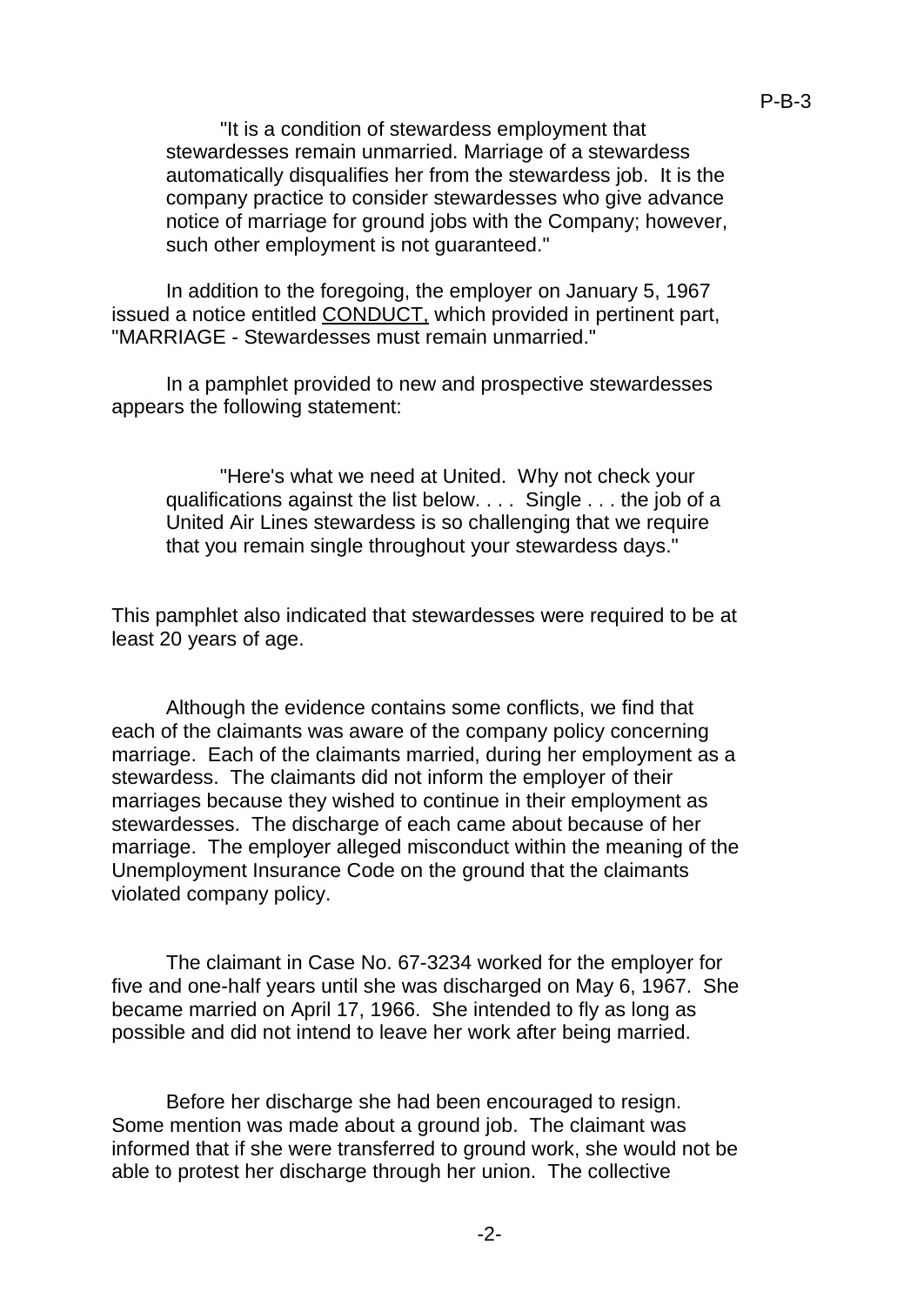"It is a condition of stewardess employment that stewardesses remain unmarried. Marriage of a stewardess automatically disqualifies her from the stewardess job. It is the company practice to consider stewardesses who give advance notice of marriage for ground jobs with the Company; however, such other employment is not guaranteed."

In addition to the foregoing, the employer on January 5, 1967 issued a notice entitled CONDUCT, which provided in pertinent part, "MARRIAGE - Stewardesses must remain unmarried."

In a pamphlet provided to new and prospective stewardesses appears the following statement:

"Here's what we need at United. Why not check your qualifications against the list below. . . . Single . . . the job of a United Air Lines stewardess is so challenging that we require that you remain single throughout your stewardess days."

This pamphlet also indicated that stewardesses were required to be at least 20 years of age.

Although the evidence contains some conflicts, we find that each of the claimants was aware of the company policy concerning marriage. Each of the claimants married, during her employment as a stewardess. The claimants did not inform the employer of their marriages because they wished to continue in their employment as stewardesses. The discharge of each came about because of her marriage. The employer alleged misconduct within the meaning of the Unemployment Insurance Code on the ground that the claimants violated company policy.

The claimant in Case No. 67-3234 worked for the employer for five and one-half years until she was discharged on May 6, 1967. She became married on April 17, 1966. She intended to fly as long as possible and did not intend to leave her work after being married.

Before her discharge she had been encouraged to resign. Some mention was made about a ground job. The claimant was informed that if she were transferred to ground work, she would not be able to protest her discharge through her union. The collective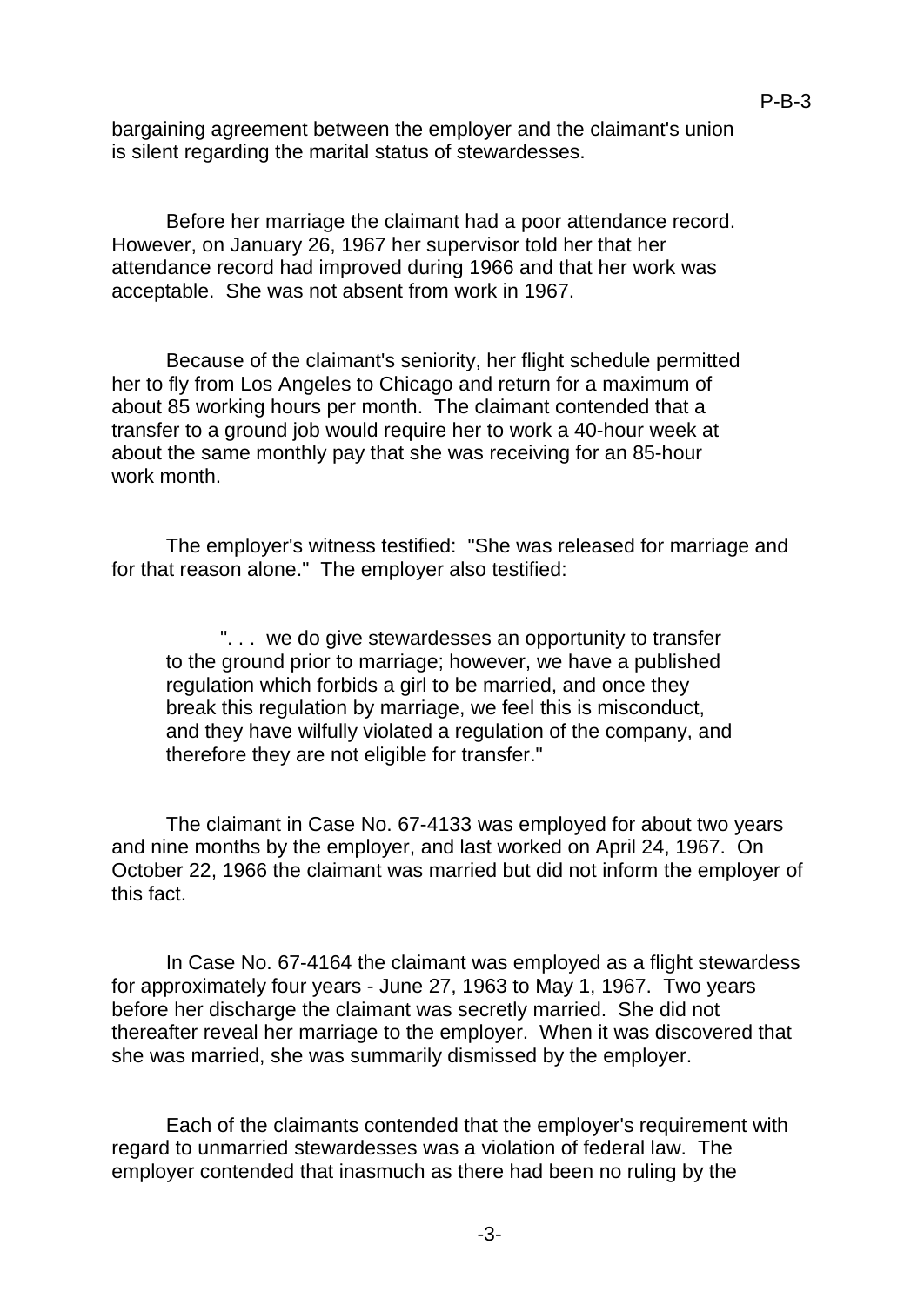bargaining agreement between the employer and the claimant's union is silent regarding the marital status of stewardesses.

P-B-3

Before her marriage the claimant had a poor attendance record. However, on January 26, 1967 her supervisor told her that her attendance record had improved during 1966 and that her work was acceptable. She was not absent from work in 1967.

Because of the claimant's seniority, her flight schedule permitted her to fly from Los Angeles to Chicago and return for a maximum of about 85 working hours per month. The claimant contended that a transfer to a ground job would require her to work a 40-hour week at about the same monthly pay that she was receiving for an 85-hour work month.

The employer's witness testified: "She was released for marriage and for that reason alone." The employer also testified:

". . . we do give stewardesses an opportunity to transfer to the ground prior to marriage; however, we have a published regulation which forbids a girl to be married, and once they break this regulation by marriage, we feel this is misconduct, and they have wilfully violated a regulation of the company, and therefore they are not eligible for transfer."

The claimant in Case No. 67-4133 was employed for about two years and nine months by the employer, and last worked on April 24, 1967. On October 22, 1966 the claimant was married but did not inform the employer of this fact.

In Case No. 67-4164 the claimant was employed as a flight stewardess for approximately four years - June 27, 1963 to May 1, 1967. Two years before her discharge the claimant was secretly married. She did not thereafter reveal her marriage to the employer. When it was discovered that she was married, she was summarily dismissed by the employer.

Each of the claimants contended that the employer's requirement with regard to unmarried stewardesses was a violation of federal law. The employer contended that inasmuch as there had been no ruling by the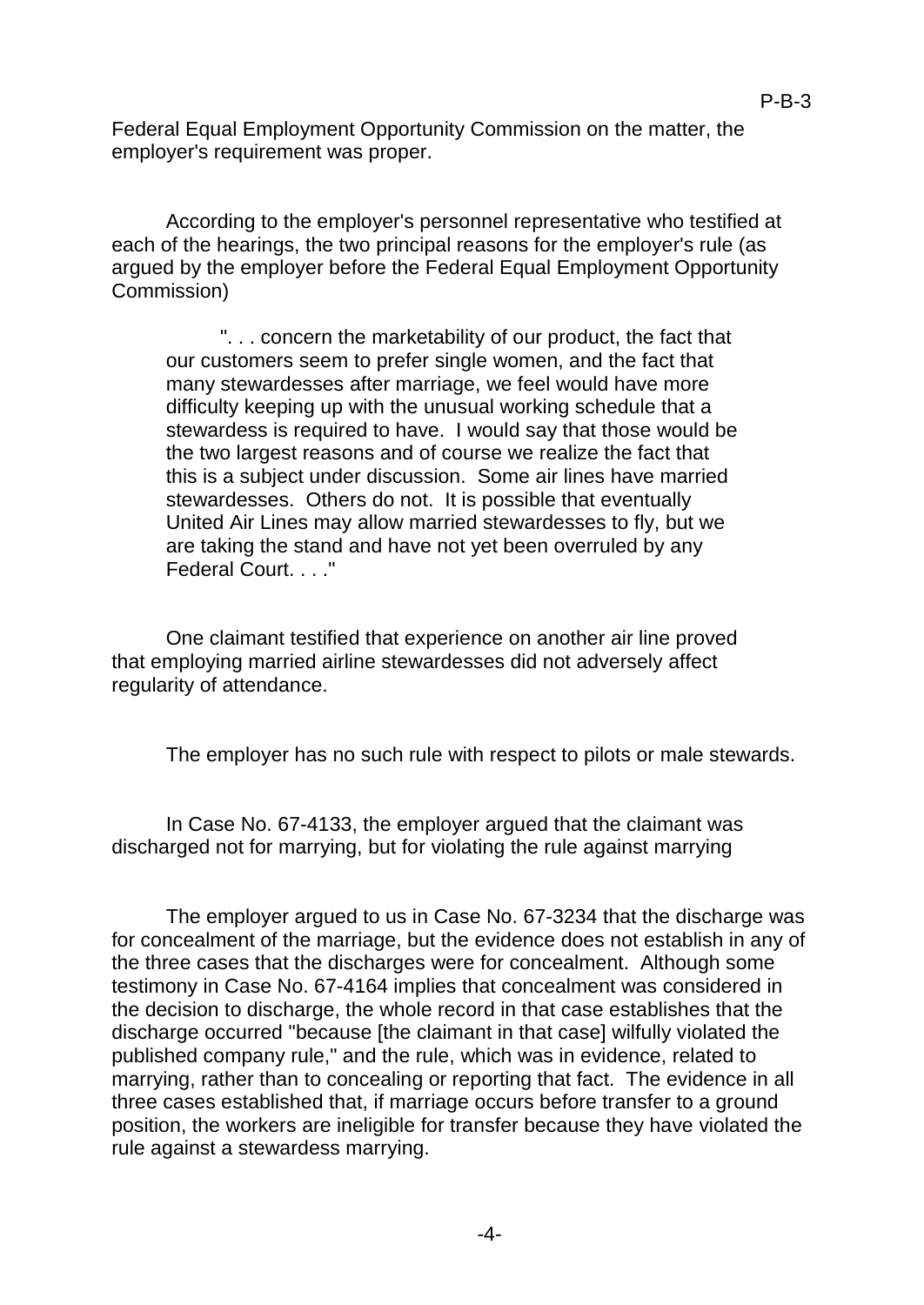Federal Equal Employment Opportunity Commission on the matter, the employer's requirement was proper.

According to the employer's personnel representative who testified at each of the hearings, the two principal reasons for the employer's rule (as argued by the employer before the Federal Equal Employment Opportunity Commission)

". . . concern the marketability of our product, the fact that our customers seem to prefer single women, and the fact that many stewardesses after marriage, we feel would have more difficulty keeping up with the unusual working schedule that a stewardess is required to have. I would say that those would be the two largest reasons and of course we realize the fact that this is a subject under discussion. Some air lines have married stewardesses. Others do not. It is possible that eventually United Air Lines may allow married stewardesses to fly, but we are taking the stand and have not yet been overruled by any Federal Court. . . ."

One claimant testified that experience on another air line proved that employing married airline stewardesses did not adversely affect regularity of attendance.

The employer has no such rule with respect to pilots or male stewards.

In Case No. 67-4133, the employer argued that the claimant was discharged not for marrying, but for violating the rule against marrying

The employer argued to us in Case No. 67-3234 that the discharge was for concealment of the marriage, but the evidence does not establish in any of the three cases that the discharges were for concealment. Although some testimony in Case No. 67-4164 implies that concealment was considered in the decision to discharge, the whole record in that case establishes that the discharge occurred "because [the claimant in that case] wilfully violated the published company rule," and the rule, which was in evidence, related to marrying, rather than to concealing or reporting that fact. The evidence in all three cases established that, if marriage occurs before transfer to a ground position, the workers are ineligible for transfer because they have violated the rule against a stewardess marrying.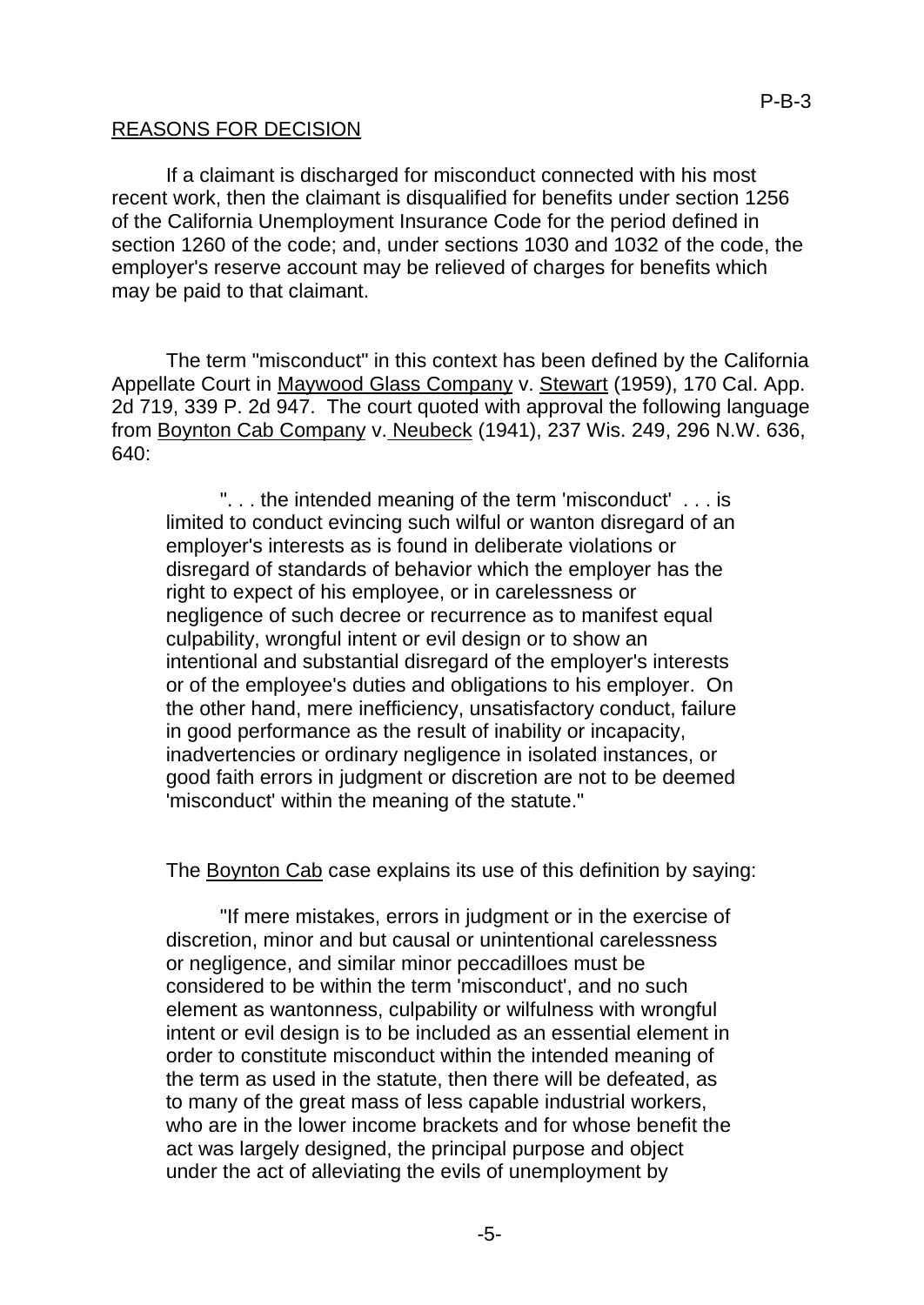### REASONS FOR DECISION

If a claimant is discharged for misconduct connected with his most recent work, then the claimant is disqualified for benefits under section 1256 of the California Unemployment Insurance Code for the period defined in section 1260 of the code; and, under sections 1030 and 1032 of the code, the employer's reserve account may be relieved of charges for benefits which may be paid to that claimant.

The term "misconduct" in this context has been defined by the California Appellate Court in Maywood Glass Company v. Stewart (1959), 170 Cal. App. 2d 719, 339 P. 2d 947. The court quoted with approval the following language from Boynton Cab Company v. Neubeck (1941), 237 Wis. 249, 296 N.W. 636,  $640<sup>1</sup>$ 

". . . the intended meaning of the term 'misconduct' . . . is limited to conduct evincing such wilful or wanton disregard of an employer's interests as is found in deliberate violations or disregard of standards of behavior which the employer has the right to expect of his employee, or in carelessness or negligence of such decree or recurrence as to manifest equal culpability, wrongful intent or evil design or to show an intentional and substantial disregard of the employer's interests or of the employee's duties and obligations to his employer. On the other hand, mere inefficiency, unsatisfactory conduct, failure in good performance as the result of inability or incapacity, inadvertencies or ordinary negligence in isolated instances, or good faith errors in judgment or discretion are not to be deemed 'misconduct' within the meaning of the statute."

The Boynton Cab case explains its use of this definition by saying:

"If mere mistakes, errors in judgment or in the exercise of discretion, minor and but causal or unintentional carelessness or negligence, and similar minor peccadilloes must be considered to be within the term 'misconduct', and no such element as wantonness, culpability or wilfulness with wrongful intent or evil design is to be included as an essential element in order to constitute misconduct within the intended meaning of the term as used in the statute, then there will be defeated, as to many of the great mass of less capable industrial workers, who are in the lower income brackets and for whose benefit the act was largely designed, the principal purpose and object under the act of alleviating the evils of unemployment by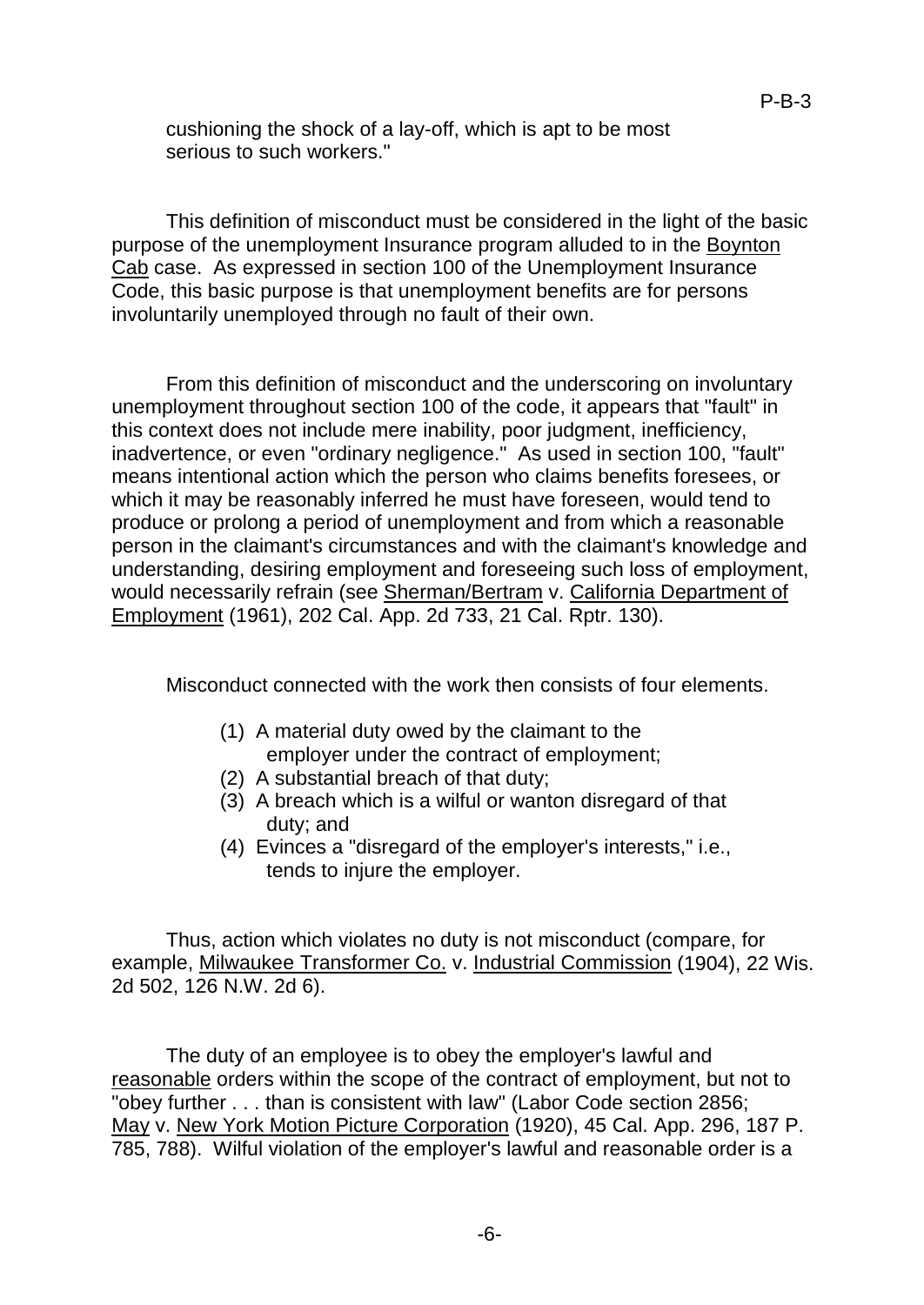cushioning the shock of a lay-off, which is apt to be most serious to such workers."

This definition of misconduct must be considered in the light of the basic purpose of the unemployment Insurance program alluded to in the Boynton Cab case. As expressed in section 100 of the Unemployment Insurance Code, this basic purpose is that unemployment benefits are for persons involuntarily unemployed through no fault of their own.

From this definition of misconduct and the underscoring on involuntary unemployment throughout section 100 of the code, it appears that "fault" in this context does not include mere inability, poor judgment, inefficiency, inadvertence, or even "ordinary negligence." As used in section 100, "fault" means intentional action which the person who claims benefits foresees, or which it may be reasonably inferred he must have foreseen, would tend to produce or prolong a period of unemployment and from which a reasonable person in the claimant's circumstances and with the claimant's knowledge and understanding, desiring employment and foreseeing such loss of employment, would necessarily refrain (see Sherman/Bertram v. California Department of Employment (1961), 202 Cal. App. 2d 733, 21 Cal. Rptr. 130).

Misconduct connected with the work then consists of four elements.

- (1) A material duty owed by the claimant to the employer under the contract of employment;
- (2) A substantial breach of that duty;
- (3) A breach which is a wilful or wanton disregard of that duty; and
- (4) Evinces a "disregard of the employer's interests," i.e., tends to injure the employer.

Thus, action which violates no duty is not misconduct (compare, for example, Milwaukee Transformer Co. v. Industrial Commission (1904), 22 Wis. 2d 502, 126 N.W. 2d 6).

The duty of an employee is to obey the employer's lawful and reasonable orders within the scope of the contract of employment, but not to "obey further . . . than is consistent with law" (Labor Code section 2856; May v. New York Motion Picture Corporation (1920), 45 Cal. App. 296, 187 P. 785, 788). Wilful violation of the employer's lawful and reasonable order is a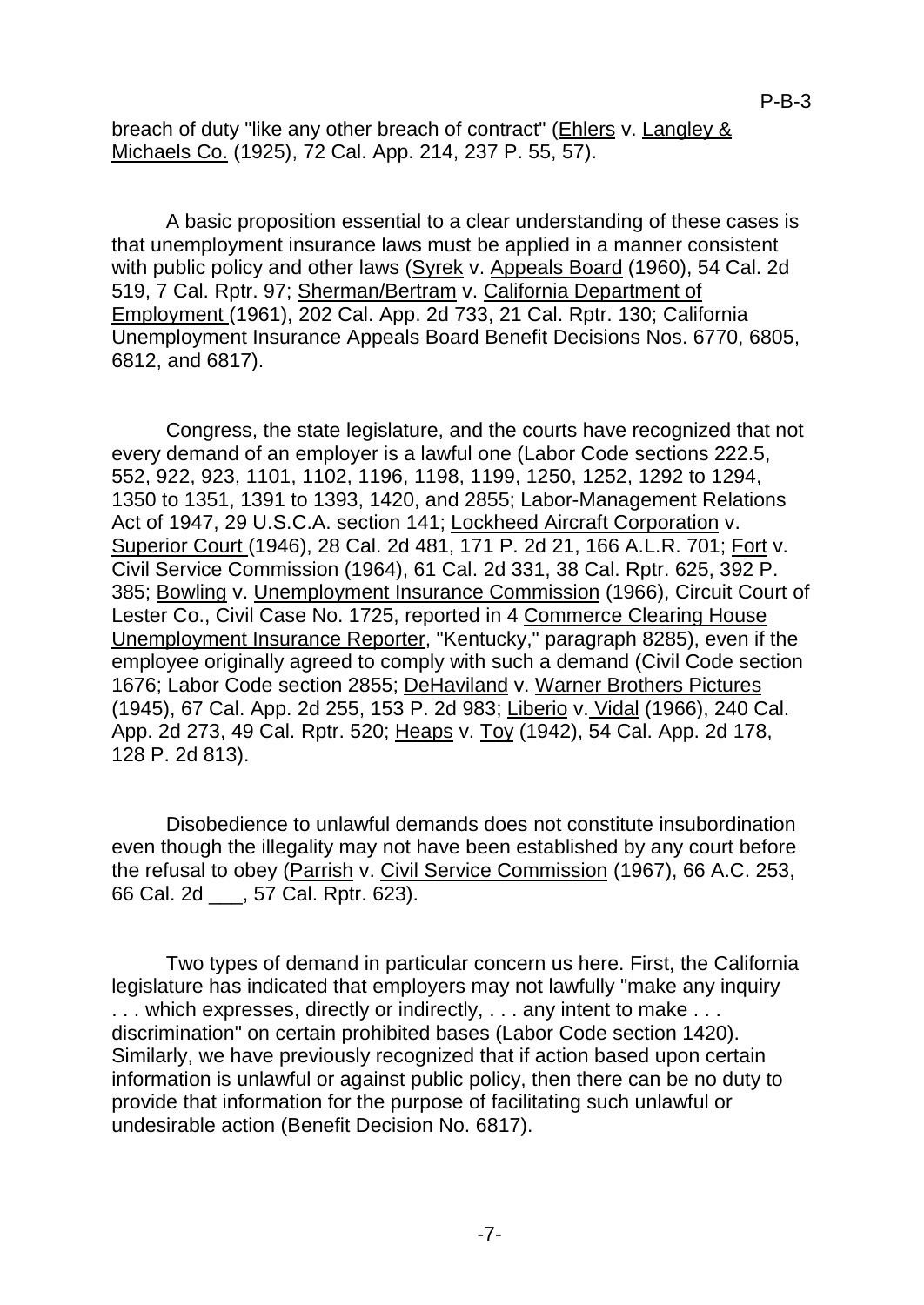breach of duty "like any other breach of contract" (Ehlers v. Langley & Michaels Co. (1925), 72 Cal. App. 214, 237 P. 55, 57).

A basic proposition essential to a clear understanding of these cases is that unemployment insurance laws must be applied in a manner consistent with public policy and other laws (Syrek v. Appeals Board (1960), 54 Cal. 2d 519, 7 Cal. Rptr. 97; Sherman/Bertram v. California Department of Employment (1961), 202 Cal. App. 2d 733, 21 Cal. Rptr. 130; California Unemployment Insurance Appeals Board Benefit Decisions Nos. 6770, 6805, 6812, and 6817).

Congress, the state legislature, and the courts have recognized that not every demand of an employer is a lawful one (Labor Code sections 222.5, 552, 922, 923, 1101, 1102, 1196, 1198, 1199, 1250, 1252, 1292 to 1294, 1350 to 1351, 1391 to 1393, 1420, and 2855; Labor-Management Relations Act of 1947, 29 U.S.C.A. section 141; Lockheed Aircraft Corporation v. Superior Court (1946), 28 Cal. 2d 481, 171 P. 2d 21, 166 A.L.R. 701; Fort v. Civil Service Commission (1964), 61 Cal. 2d 331, 38 Cal. Rptr. 625, 392 P. 385; Bowling v. Unemployment Insurance Commission (1966), Circuit Court of Lester Co., Civil Case No. 1725, reported in 4 Commerce Clearing House Unemployment Insurance Reporter, "Kentucky," paragraph 8285), even if the employee originally agreed to comply with such a demand (Civil Code section 1676; Labor Code section 2855; DeHaviland v. Warner Brothers Pictures (1945), 67 Cal. App. 2d 255, 153 P. 2d 983; Liberio v. Vidal (1966), 240 Cal. App. 2d 273, 49 Cal. Rptr. 520; Heaps v. Toy (1942), 54 Cal. App. 2d 178, 128 P. 2d 813).

Disobedience to unlawful demands does not constitute insubordination even though the illegality may not have been established by any court before the refusal to obey (Parrish v. Civil Service Commission (1967), 66 A.C. 253, 66 Cal. 2d \_\_\_, 57 Cal. Rptr. 623).

Two types of demand in particular concern us here. First, the California legislature has indicated that employers may not lawfully "make any inquiry ... which expresses, directly or indirectly, ... any intent to make ... discrimination" on certain prohibited bases (Labor Code section 1420). Similarly, we have previously recognized that if action based upon certain information is unlawful or against public policy, then there can be no duty to provide that information for the purpose of facilitating such unlawful or undesirable action (Benefit Decision No. 6817).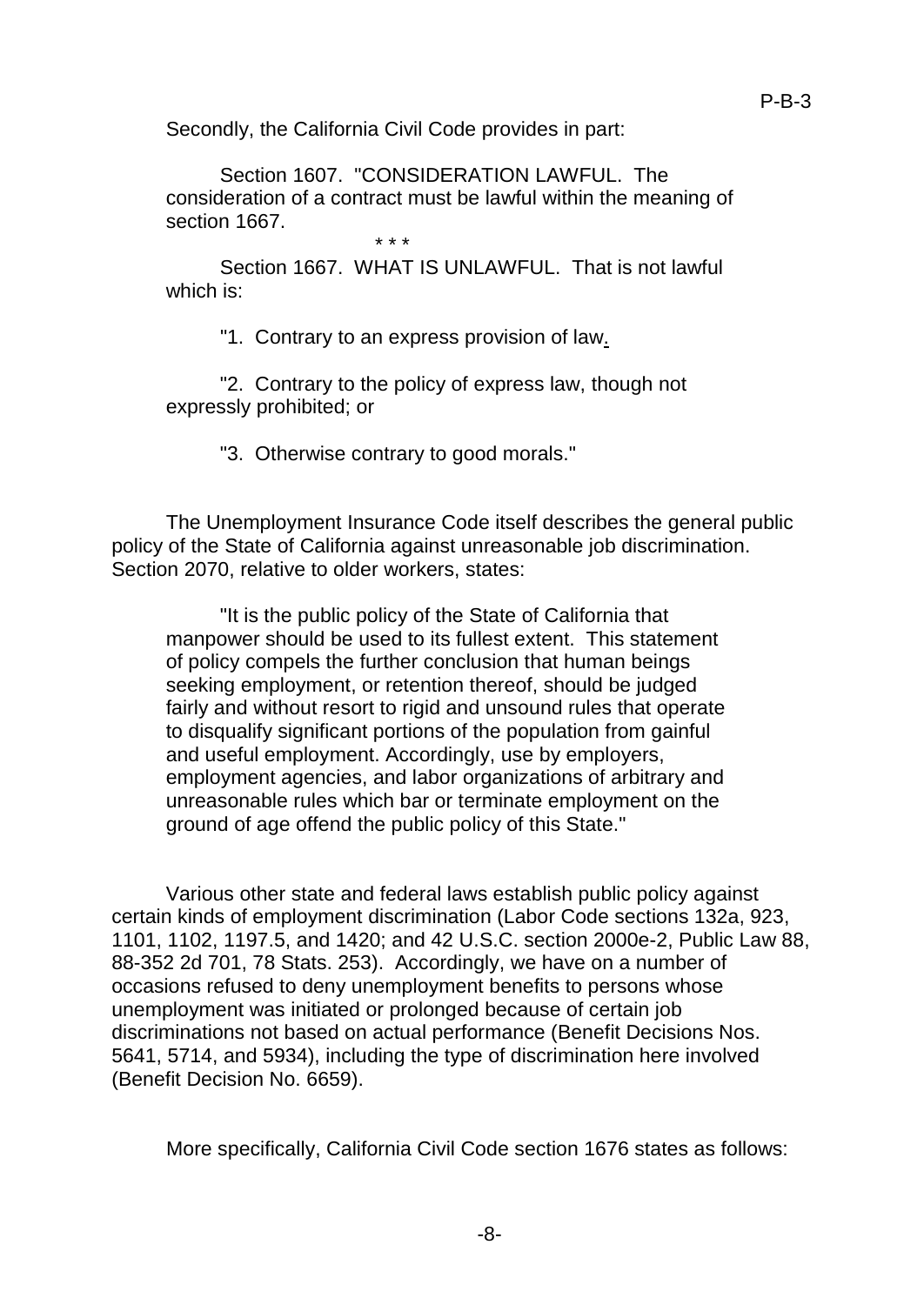Secondly, the California Civil Code provides in part:

Section 1607. "CONSIDERATION LAWFUL. The consideration of a contract must be lawful within the meaning of section 1667. \* \* \*

Section 1667 WHAT IS UNLAWFUL. That is not lawful. which is:

"1. Contrary to an express provision of law.

"2. Contrary to the policy of express law, though not expressly prohibited; or

"3. Otherwise contrary to good morals."

The Unemployment Insurance Code itself describes the general public policy of the State of California against unreasonable job discrimination. Section 2070, relative to older workers, states:

"It is the public policy of the State of California that manpower should be used to its fullest extent. This statement of policy compels the further conclusion that human beings seeking employment, or retention thereof, should be judged fairly and without resort to rigid and unsound rules that operate to disqualify significant portions of the population from gainful and useful employment. Accordingly, use by employers, employment agencies, and labor organizations of arbitrary and unreasonable rules which bar or terminate employment on the ground of age offend the public policy of this State."

Various other state and federal laws establish public policy against certain kinds of employment discrimination (Labor Code sections 132a, 923, 1101, 1102, 1197.5, and 1420; and 42 U.S.C. section 2000e-2, Public Law 88, 88-352 2d 701, 78 Stats. 253). Accordingly, we have on a number of occasions refused to deny unemployment benefits to persons whose unemployment was initiated or prolonged because of certain job discriminations not based on actual performance (Benefit Decisions Nos. 5641, 5714, and 5934), including the type of discrimination here involved (Benefit Decision No. 6659).

More specifically, California Civil Code section 1676 states as follows: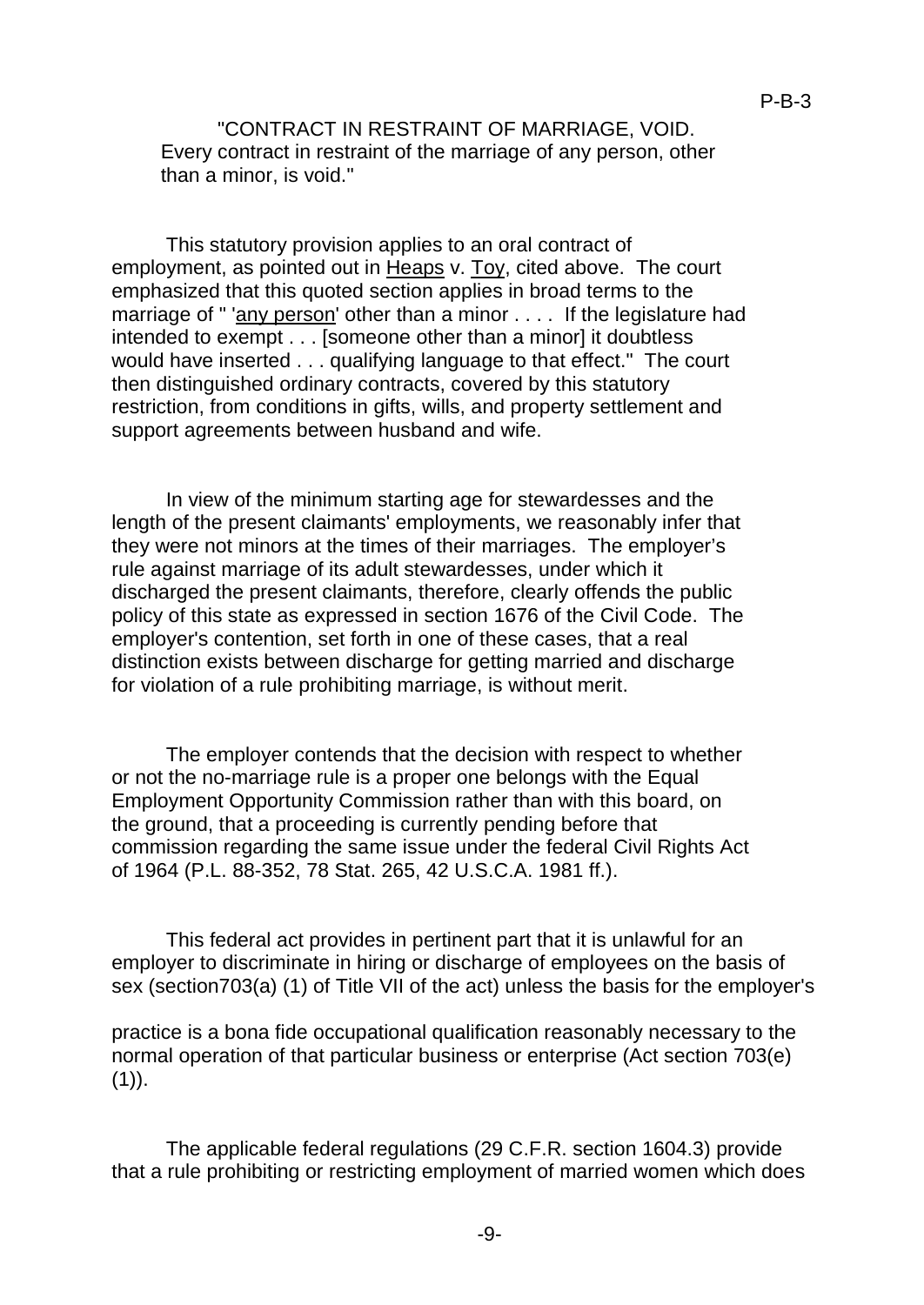"CONTRACT IN RESTRAINT OF MARRIAGE, VOID. Every contract in restraint of the marriage of any person, other than a minor, is void."

This statutory provision applies to an oral contract of employment, as pointed out in Heaps v. Toy, cited above. The court emphasized that this quoted section applies in broad terms to the marriage of " 'any person' other than a minor . . . . If the legislature had intended to exempt . . . [someone other than a minor] it doubtless would have inserted . . . qualifying language to that effect." The court then distinguished ordinary contracts, covered by this statutory restriction, from conditions in gifts, wills, and property settlement and support agreements between husband and wife.

In view of the minimum starting age for stewardesses and the length of the present claimants' employments, we reasonably infer that they were not minors at the times of their marriages. The employer's rule against marriage of its adult stewardesses, under which it discharged the present claimants, therefore, clearly offends the public policy of this state as expressed in section 1676 of the Civil Code. The employer's contention, set forth in one of these cases, that a real distinction exists between discharge for getting married and discharge for violation of a rule prohibiting marriage, is without merit.

The employer contends that the decision with respect to whether or not the no-marriage rule is a proper one belongs with the Equal Employment Opportunity Commission rather than with this board, on the ground, that a proceeding is currently pending before that commission regarding the same issue under the federal Civil Rights Act of 1964 (P.L. 88-352, 78 Stat. 265, 42 U.S.C.A. 1981 ff.).

This federal act provides in pertinent part that it is unlawful for an employer to discriminate in hiring or discharge of employees on the basis of sex (section703(a) (1) of Title VII of the act) unless the basis for the employer's

practice is a bona fide occupational qualification reasonably necessary to the normal operation of that particular business or enterprise (Act section 703(e)  $(1)$ ).

The applicable federal regulations (29 C.F.R. section 1604.3) provide that a rule prohibiting or restricting employment of married women which does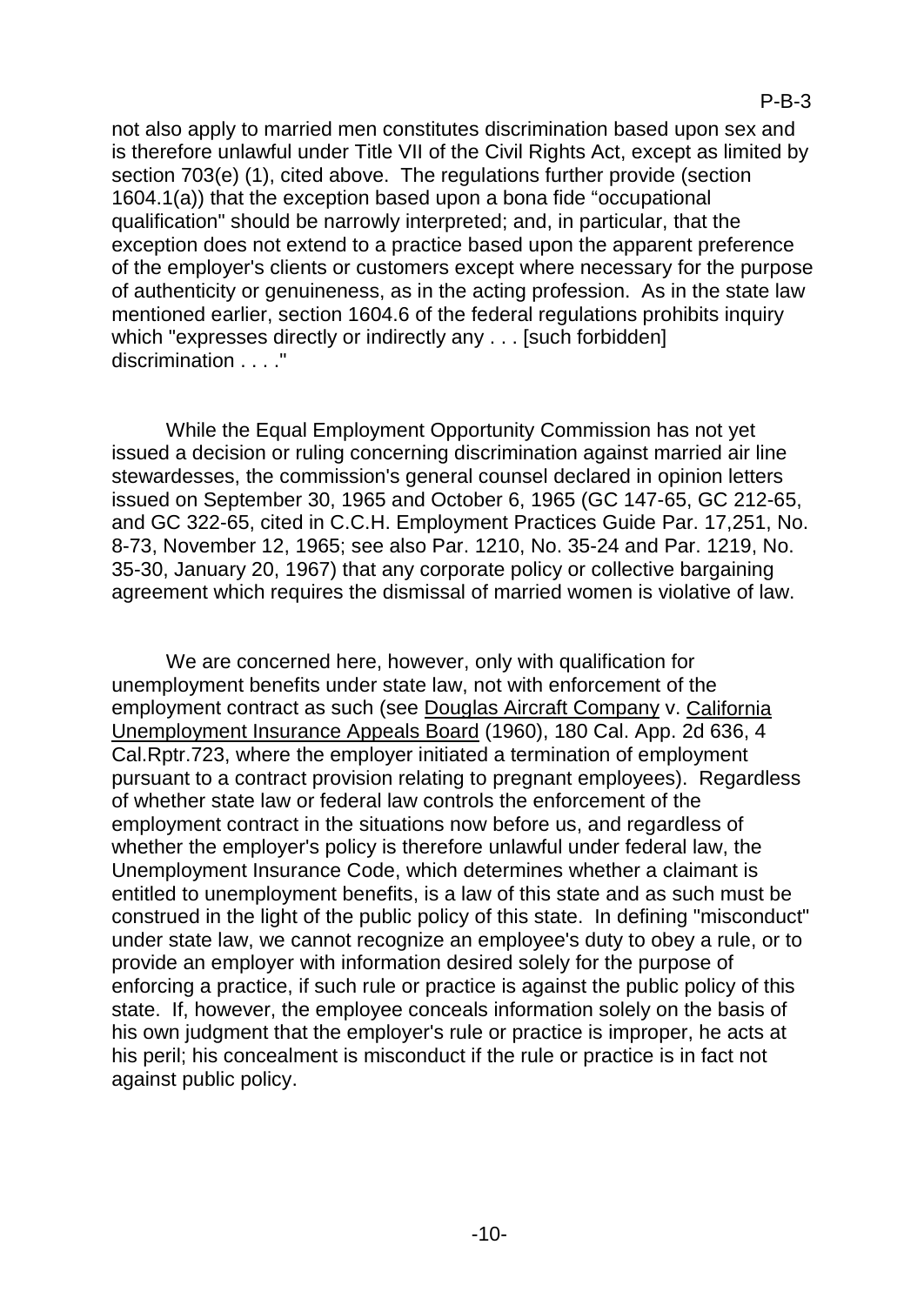not also apply to married men constitutes discrimination based upon sex and is therefore unlawful under Title VII of the Civil Rights Act, except as limited by section 703(e) (1), cited above. The regulations further provide (section 1604.1(a)) that the exception based upon a bona fide "occupational qualification" should be narrowly interpreted; and, in particular, that the exception does not extend to a practice based upon the apparent preference of the employer's clients or customers except where necessary for the purpose of authenticity or genuineness, as in the acting profession. As in the state law mentioned earlier, section 1604.6 of the federal regulations prohibits inquiry which "expresses directly or indirectly any . . . [such forbidden] discrimination . . . ."

While the Equal Employment Opportunity Commission has not yet issued a decision or ruling concerning discrimination against married air line stewardesses, the commission's general counsel declared in opinion letters issued on September 30, 1965 and October 6, 1965 (GC 147-65, GC 212-65, and GC 322-65, cited in C.C.H. Employment Practices Guide Par. 17,251, No. 8-73, November 12, 1965; see also Par. 1210, No. 35-24 and Par. 1219, No. 35-30, January 20, 1967) that any corporate policy or collective bargaining agreement which requires the dismissal of married women is violative of law.

We are concerned here, however, only with qualification for unemployment benefits under state law, not with enforcement of the employment contract as such (see Douglas Aircraft Company v. California Unemployment Insurance Appeals Board (1960), 180 Cal. App. 2d 636, 4 Cal.Rptr.723, where the employer initiated a termination of employment pursuant to a contract provision relating to pregnant employees). Regardless of whether state law or federal law controls the enforcement of the employment contract in the situations now before us, and regardless of whether the employer's policy is therefore unlawful under federal law, the Unemployment Insurance Code, which determines whether a claimant is entitled to unemployment benefits, is a law of this state and as such must be construed in the light of the public policy of this state. In defining "misconduct" under state law, we cannot recognize an employee's duty to obey a rule, or to provide an employer with information desired solely for the purpose of enforcing a practice, if such rule or practice is against the public policy of this state. If, however, the employee conceals information solely on the basis of his own judgment that the employer's rule or practice is improper, he acts at his peril; his concealment is misconduct if the rule or practice is in fact not against public policy.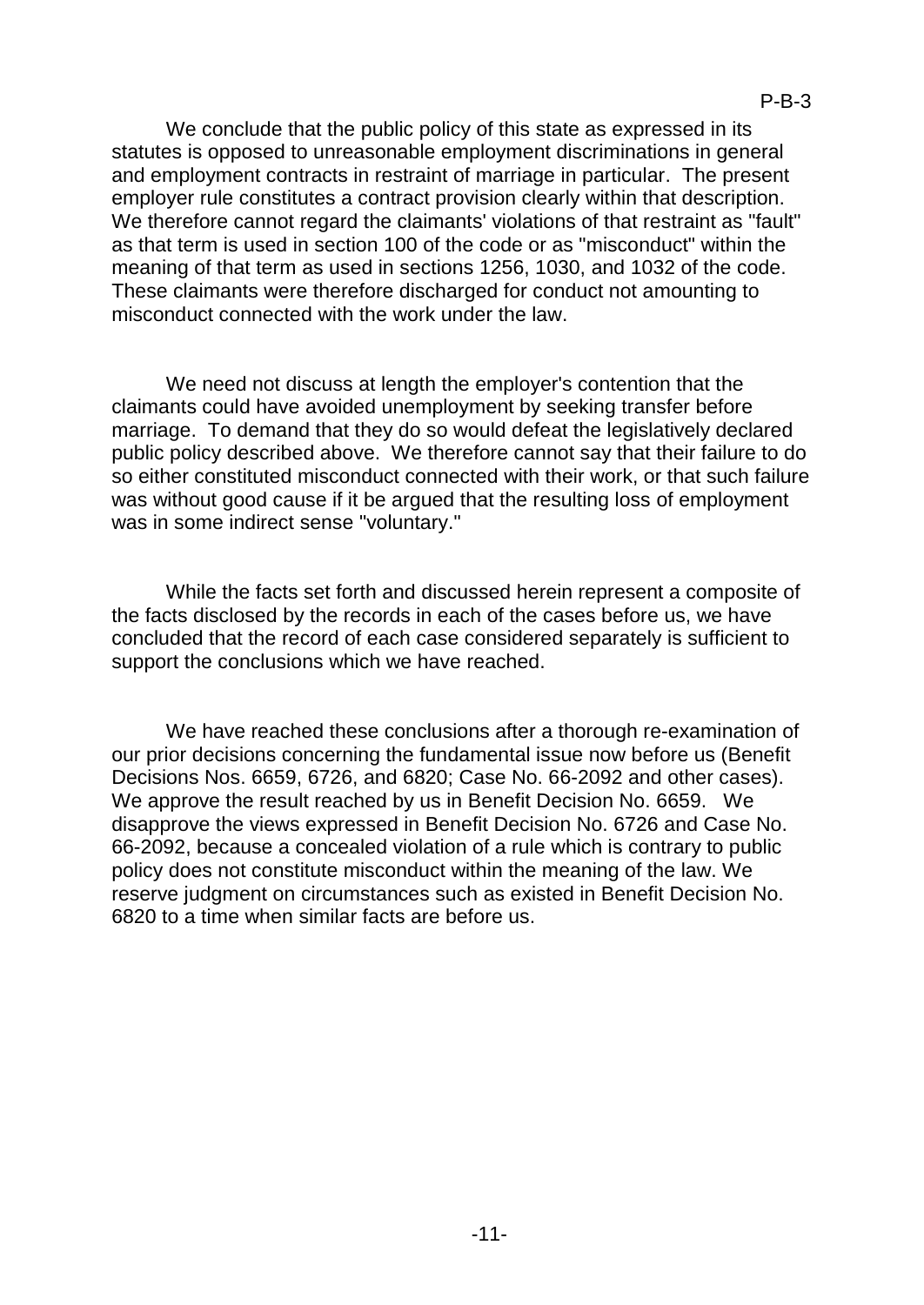We conclude that the public policy of this state as expressed in its statutes is opposed to unreasonable employment discriminations in general and employment contracts in restraint of marriage in particular. The present employer rule constitutes a contract provision clearly within that description. We therefore cannot regard the claimants' violations of that restraint as "fault" as that term is used in section 100 of the code or as "misconduct" within the meaning of that term as used in sections 1256, 1030, and 1032 of the code. These claimants were therefore discharged for conduct not amounting to misconduct connected with the work under the law.

We need not discuss at length the employer's contention that the claimants could have avoided unemployment by seeking transfer before marriage. To demand that they do so would defeat the legislatively declared public policy described above. We therefore cannot say that their failure to do so either constituted misconduct connected with their work, or that such failure was without good cause if it be argued that the resulting loss of employment was in some indirect sense "voluntary."

While the facts set forth and discussed herein represent a composite of the facts disclosed by the records in each of the cases before us, we have concluded that the record of each case considered separately is sufficient to support the conclusions which we have reached.

We have reached these conclusions after a thorough re-examination of our prior decisions concerning the fundamental issue now before us (Benefit Decisions Nos. 6659, 6726, and 6820; Case No. 66-2092 and other cases). We approve the result reached by us in Benefit Decision No. 6659. We disapprove the views expressed in Benefit Decision No. 6726 and Case No. 66-2092, because a concealed violation of a rule which is contrary to public policy does not constitute misconduct within the meaning of the law. We reserve judgment on circumstances such as existed in Benefit Decision No. 6820 to a time when similar facts are before us.